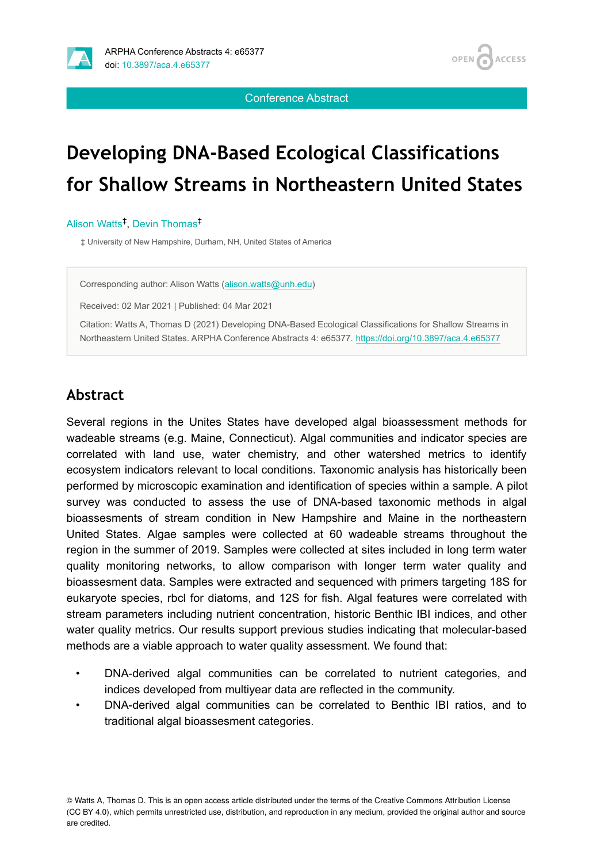

**OPEN ACCESS** 

Conference Abstract

# **Developing DNA-Based Ecological Classifications for Shallow Streams in Northeastern United States**

#### Alison Watts<sup>‡</sup>, Devin Thomas<sup>‡</sup>

‡ University of New Hampshire, Durham, NH, United States of America

Corresponding author: Alison Watts ([alison.watts@unh.edu](mailto:alison.watts@unh.edu))

Received: 02 Mar 2021 | Published: 04 Mar 2021

Citation: Watts A, Thomas D (2021) Developing DNA-Based Ecological Classifications for Shallow Streams in Northeastern United States. ARPHA Conference Abstracts 4: e65377.<https://doi.org/10.3897/aca.4.e65377>

# **Abstract**

Several regions in the Unites States have developed algal bioassessment methods for wadeable streams (e.g. Maine, Connecticut). Algal communities and indicator species are correlated with land use, water chemistry, and other watershed metrics to identify ecosystem indicators relevant to local conditions. Taxonomic analysis has historically been performed by microscopic examination and identification of species within a sample. A pilot survey was conducted to assess the use of DNA-based taxonomic methods in algal bioassesments of stream condition in New Hampshire and Maine in the northeastern United States. Algae samples were collected at 60 wadeable streams throughout the region in the summer of 2019. Samples were collected at sites included in long term water quality monitoring networks, to allow comparison with longer term water quality and bioassesment data. Samples were extracted and sequenced with primers targeting 18S for eukaryote species, rbcl for diatoms, and 12S for fish. Algal features were correlated with stream parameters including nutrient concentration, historic Benthic IBI indices, and other water quality metrics. Our results support previous studies indicating that molecular-based methods are a viable approach to water quality assessment. We found that:

- DNA-derived algal communities can be correlated to nutrient categories, and indices developed from multiyear data are reflected in the community.
- DNA-derived algal communities can be correlated to Benthic IBI ratios, and to traditional algal bioassesment categories.

© Watts A, Thomas D. This is an open access article distributed under the terms of the Creative Commons Attribution License (CC BY 4.0), which permits unrestricted use, distribution, and reproduction in any medium, provided the original author and source are credited.